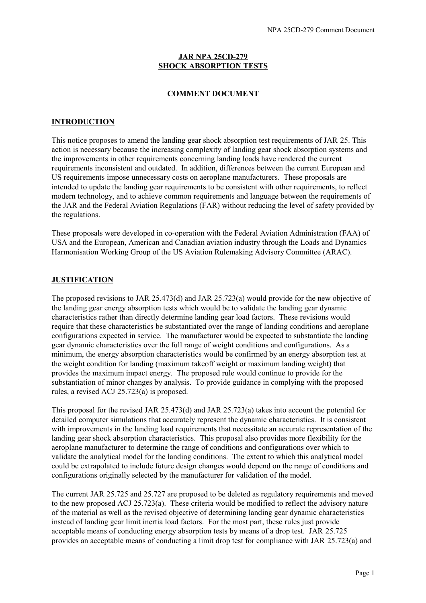# **JAR NPA 25CD-279 SHOCK ABSORPTION TESTS**

## **COMMENT DOCUMENT**

#### **INTRODUCTION**

This notice proposes to amend the landing gear shock absorption test requirements of JAR 25. This action is necessary because the increasing complexity of landing gear shock absorption systems and the improvements in other requirements concerning landing loads have rendered the current requirements inconsistent and outdated. In addition, differences between the current European and US requirements impose unnecessary costs on aeroplane manufacturers. These proposals are intended to update the landing gear requirements to be consistent with other requirements, to reflect modern technology, and to achieve common requirements and language between the requirements of the JAR and the Federal Aviation Regulations (FAR) without reducing the level of safety provided by the regulations.

These proposals were developed in co-operation with the Federal Aviation Administration (FAA) of USA and the European, American and Canadian aviation industry through the Loads and Dynamics Harmonisation Working Group of the US Aviation Rulemaking Advisory Committee (ARAC).

#### **JUSTIFICATION**

The proposed revisions to JAR 25.473(d) and JAR 25.723(a) would provide for the new objective of the landing gear energy absorption tests which would be to validate the landing gear dynamic characteristics rather than directly determine landing gear load factors. These revisions would require that these characteristics be substantiated over the range of landing conditions and aeroplane configurations expected in service. The manufacturer would be expected to substantiate the landing gear dynamic characteristics over the full range of weight conditions and configurations. As a minimum, the energy absorption characteristics would be confirmed by an energy absorption test at the weight condition for landing (maximum takeoff weight or maximum landing weight) that provides the maximum impact energy. The proposed rule would continue to provide for the substantiation of minor changes by analysis. To provide guidance in complying with the proposed rules, a revised ACJ 25.723(a) is proposed.

This proposal for the revised JAR 25.473(d) and JAR 25.723(a) takes into account the potential for detailed computer simulations that accurately represent the dynamic characteristics. It is consistent with improvements in the landing load requirements that necessitate an accurate representation of the landing gear shock absorption characteristics. This proposal also provides more flexibility for the aeroplane manufacturer to determine the range of conditions and configurations over which to validate the analytical model for the landing conditions. The extent to which this analytical model could be extrapolated to include future design changes would depend on the range of conditions and configurations originally selected by the manufacturer for validation of the model.

The current JAR 25.725 and 25.727 are proposed to be deleted as regulatory requirements and moved to the new proposed ACJ 25.723(a). These criteria would be modified to reflect the advisory nature of the material as well as the revised objective of determining landing gear dynamic characteristics instead of landing gear limit inertia load factors. For the most part, these rules just provide acceptable means of conducting energy absorption tests by means of a drop test. JAR 25.725 provides an acceptable means of conducting a limit drop test for compliance with JAR 25.723(a) and